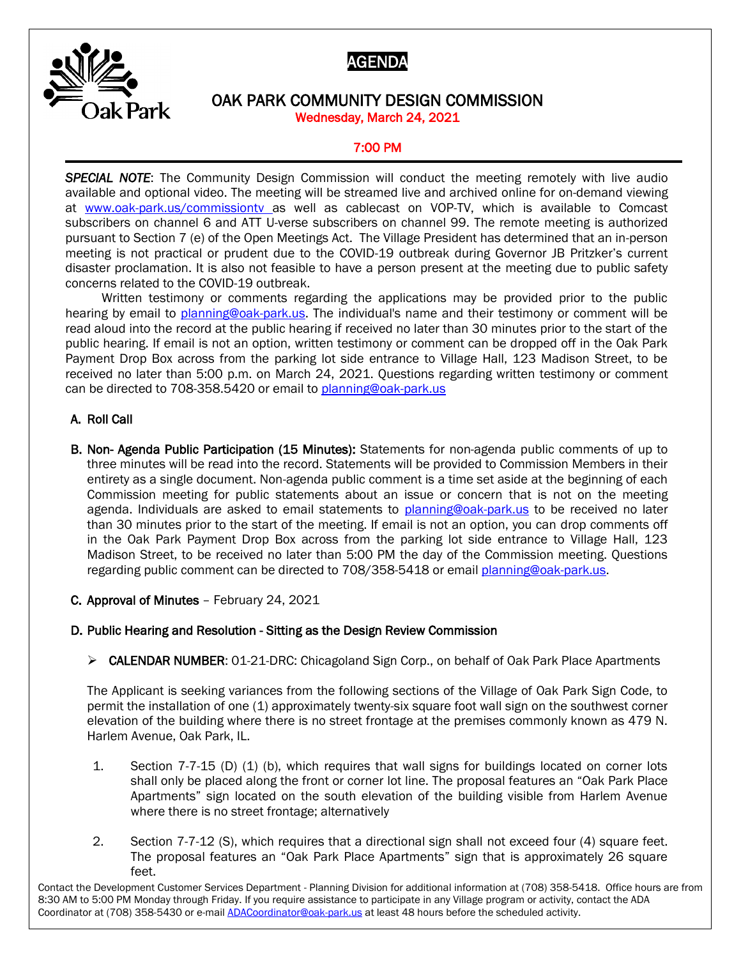



## OAK PARK COMMUNITY DESIGN COMMISSION Wednesday, March 24, 2021

# 7:00 PM

**SPECIAL NOTE:** The Community Design Commission will conduct the meeting remotely with live audio available and optional video. The meeting will be streamed live and archived online for on-demand viewing at [www.oak-park.us/commissiontv](http://www.oak-park.us/commissiontv) as well as cablecast on VOP-TV, which is available to Comcast subscribers on channel 6 and ATT U-verse subscribers on channel 99. The remote meeting is authorized pursuant to Section 7 (e) of the Open Meetings Act. The Village President has determined that an in-person meeting is not practical or prudent due to the COVID-19 outbreak during Governor JB Pritzker's current disaster proclamation. It is also not feasible to have a person present at the meeting due to public safety concerns related to the COVID-19 outbreak.

Written testimony or comments regarding the applications may be provided prior to the public hearing by email to [planning@oak-park.us.](mailto:planning@oak-park.us) The individual's name and their testimony or comment will be read aloud into the record at the public hearing if received no later than 30 minutes prior to the start of the public hearing. If email is not an option, written testimony or comment can be dropped off in the Oak Park Payment Drop Box across from the parking lot side entrance to Village Hall, 123 Madison Street, to be received no later than 5:00 p.m. on March 24, 2021. Questions regarding written testimony or comment can be directed to 708-358.5420 or email to [planning@oak-park.us](mailto:planning@oak-park.us)

#### A. Roll Call

B. Non- Agenda Public Participation (15 Minutes): Statements for non-agenda public comments of up to three minutes will be read into the record. Statements will be provided to Commission Members in their entirety as a single document. Non-agenda public comment is a time set aside at the beginning of each Commission meeting for public statements about an issue or concern that is not on the meeting agenda. Individuals are asked to email statements to [planning@oak-park.us](mailto:planning@oak-park.us) to be received no later than 30 minutes prior to the start of the meeting. If email is not an option, you can drop comments off in the Oak Park Payment Drop Box across from the parking lot side entrance to Village Hall, 123 Madison Street, to be received no later than 5:00 PM the day of the Commission meeting. Questions regarding public comment can be directed to 708/358-5418 or email [planning@oak-park.us.](mailto:planning@oak-park.us)

C. Approval of Minutes – February 24, 2021

#### D. Public Hearing and Resolution - Sitting as the Design Review Commission

➢ CALENDAR NUMBER: 01-21-DRC: Chicagoland Sign Corp., on behalf of Oak Park Place Apartments

The Applicant is seeking variances from the following sections of the Village of Oak Park Sign Code, to permit the installation of one (1) approximately twenty-six square foot wall sign on the southwest corner elevation of the building where there is no street frontage at the premises commonly known as 479 N. Harlem Avenue, Oak Park, IL.

- 1. Section 7-7-15 (D) (1) (b), which requires that wall signs for buildings located on corner lots shall only be placed along the front or corner lot line. The proposal features an "Oak Park Place Apartments" sign located on the south elevation of the building visible from Harlem Avenue where there is no street frontage; alternatively
- 2. Section 7-7-12 (S), which requires that a directional sign shall not exceed four (4) square feet. The proposal features an "Oak Park Place Apartments" sign that is approximately 26 square feet.

Contact the Development Customer Services Department - Planning Division for additional information at (708) 358-5418. Office hours are from 8:30 AM to 5:00 PM Monday through Friday. If you require assistance to participate in any Village program or activity, contact the ADA Coordinator at (708) 358-5430 or e-mail **ADACoordinator@oak-park.us** at least 48 hours before the scheduled activity.